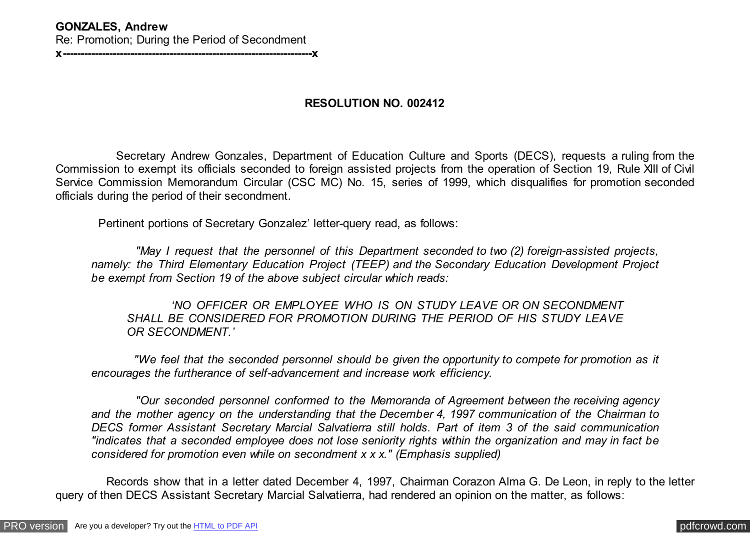## **RESOLUTION NO. 002412**

 Secretary Andrew Gonzales, Department of Education Culture and Sports (DECS), requests a ruling from the Commission to exempt its officials seconded to foreign assisted projects from the operation of Section 19, Rule XIII of Civil Service Commission Memorandum Circular (CSC MC) No. 15, series of 1999, which disqualifies for promotion seconded officials during the period of their secondment.

Pertinent portions of Secretary Gonzalez' letter-query read, as follows:

 *"May I request that the personnel of this Department seconded to two (2) foreign-assisted projects, namely: the Third Elementary Education Project (TEEP) and the Secondary Education Development Project be exempt from Section 19 of the above subject circular which reads:*

 *'NO OFFICER OR EMPLOYEE WHO IS ON STUDY LEAVE OR ON SECONDMENT SHALL BE CONSIDERED FOR PROMOTION DURING THE PERIOD OF HIS STUDY LEAVE OR SECONDMENT.'*

 *"We feel that the seconded personnel should be given the opportunity to compete for promotion as it encourages the furtherance of self-advancement and increase work efficiency.*

 *"Our seconded personnel conformed to the Memoranda of Agreement between the receiving agency and the mother agency on the understanding that the December 4, 1997 communication of the Chairman to DECS former Assistant Secretary Marcial Salvatierra still holds. Part of item 3 of the said communication "indicates that a seconded employee does not lose seniority rights within the organization and may in fact be considered for promotion even while on secondment x x x." (Emphasis supplied)*

 Records show that in a letter dated December 4, 1997, Chairman Corazon Alma G. De Leon, in reply to the letter query of then DECS Assistant Secretary Marcial Salvatierra, had rendered an opinion on the matter, as follows: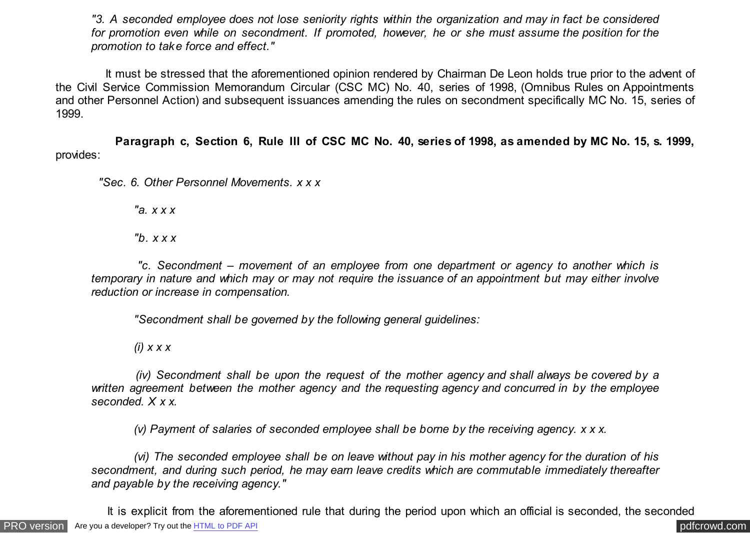*"3. A seconded employee does not lose seniority rights within the organization and may in fact be considered for promotion even while on secondment. If promoted, however, he or she must assume the position for the promotion to take force and effect."*

 It must be stressed that the aforementioned opinion rendered by Chairman De Leon holds true prior to the advent of the Civil Service Commission Memorandum Circular (CSC MC) No. 40, series of 1998, (Omnibus Rules on Appointments and other Personnel Action) and subsequent issuances amending the rules on secondment specifically MC No. 15, series of 1999.

 **Paragraph c, Section 6, Rule III of CSC MC No. 40, series of 1998, as amended by MC No. 15, s. 1999,** provides:

 *"Sec. 6. Other Personnel Movements. x x x*

 *"a. x x x*

 *"b. x x x*

 *"c. Secondment – movement of an employee from one department or agency to another which is temporary in nature and which may or may not require the issuance of an appointment but may either involve reduction or increase in compensation.*

 *"Secondment shall be governed by the following general guidelines:*

 *(i) x x x*

 *(iv) Secondment shall be upon the request of the mother agency and shall always be covered by a written agreement between the mother agency and the requesting agency and concurred in by the employee seconded. X x x.*

 *(v) Payment of salaries of seconded employee shall be borne by the receiving agency. x x x.*

 *(vi) The seconded employee shall be on leave without pay in his mother agency for the duration of his secondment, and during such period, he may earn leave credits which are commutable immediately thereafter and payable by the receiving agency."*

It is explicit from the aforementioned rule that during the period upon which an official is seconded, the seconded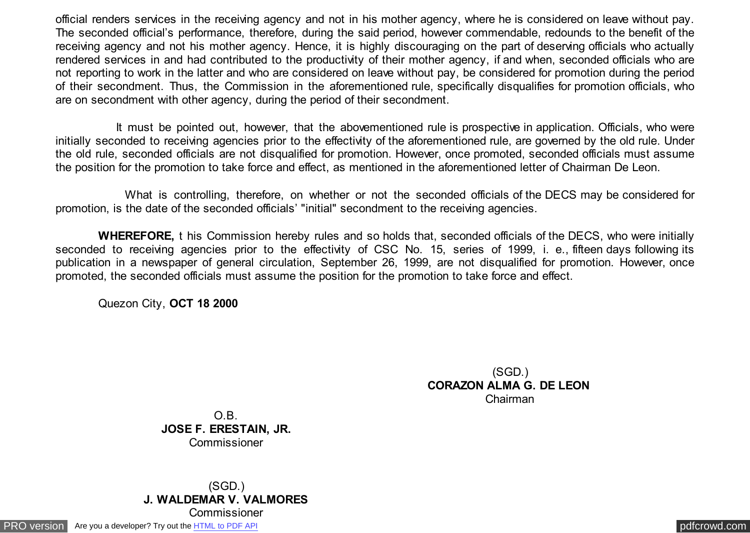official renders services in the receiving agency and not in his mother agency, where he is considered on leave without pay. The seconded official's performance, therefore, during the said period, however commendable, redounds to the benefit of the receiving agency and not his mother agency. Hence, it is highly discouraging on the part of deserving officials who actually rendered services in and had contributed to the productivity of their mother agency, if and when, seconded officials who are not reporting to work in the latter and who are considered on leave without pay, be considered for promotion during the period of their secondment. Thus, the Commission in the aforementioned rule, specifically disqualifies for promotion officials, who are on secondment with other agency, during the period of their secondment.

 It must be pointed out, however, that the abovementioned rule is prospective in application. Officials, who were initially seconded to receiving agencies prior to the effectivity of the aforementioned rule, are governed by the old rule. Under the old rule, seconded officials are not disqualified for promotion. However, once promoted, seconded officials must assume the position for the promotion to take force and effect, as mentioned in the aforementioned letter of Chairman De Leon.

 What is controlling, therefore, on whether or not the seconded officials of the DECS may be considered for promotion, is the date of the seconded officials' "initial" secondment to the receiving agencies.

 **WHEREFORE,** t his Commission hereby rules and so holds that, seconded officials of the DECS, who were initially seconded to receiving agencies prior to the effectivity of CSC No. 15, series of 1999, i. e., fifteen days following its publication in a newspaper of general circulation, September 26, 1999, are not disqualified for promotion. However, once promoted, the seconded officials must assume the position for the promotion to take force and effect.

Quezon City, **OCT 18 2000**

(SGD.) **CORAZON ALMA G. DE LEON**  Chairman

O.B. **JOSE F. ERESTAIN, JR.** Commissioner

(SGD.) **J. WALDEMAR V. VALMORES Commissioner** 

[PRO version](http://pdfcrowd.com/customize/) Are you a developer? Try out th[e HTML to PDF API](http://pdfcrowd.com/html-to-pdf-api/?ref=pdf) provided and the example of the HTML to PDF API [pdfcrowd.com](http://pdfcrowd.com)